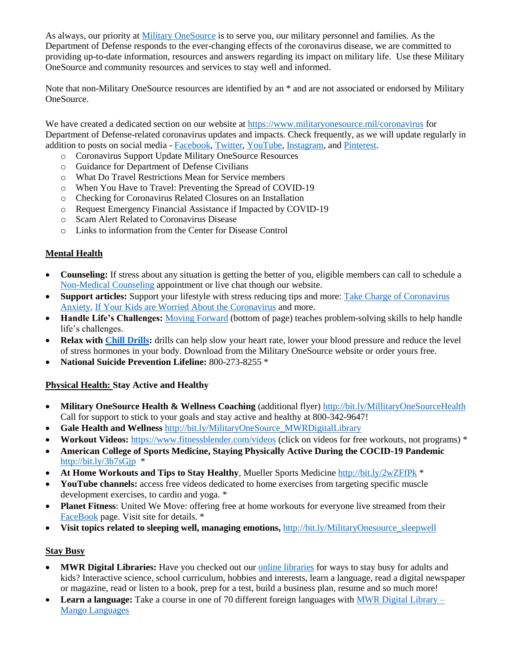As always, our priority at [Military OneSource](http://www.militaryonesource.mil/) is to serve you, our military personnel and families. As the Department of Defense responds to the ever-changing effects of the coronavirus disease, we are committed to providing up-to-date information, resources and answers regarding its impact on military life. Use these Military OneSource and community resources and services to stay well and informed.

Note that non-Military OneSource resources are identified by an \* and are not associated or endorsed by Military OneSource.

We have created a dedicated section on our website a[t https://www.militaryonesource.mil/coronavirus](https://www.militaryonesource.mil/coronavirus) for Department of Defense-related coronavirus updates and impacts. Check frequently, as we will update regularly in addition to posts on social media - [Facebook,](http://www.facebook.com/military.1source) [Twitter,](https://mobile.twitter.com/military1source) [YouTube,](https://youtube.com/user/military1source) [Instagram,](https://www.instagram.com/military1source/) and [Pinterest.](https://pinterest.com/military1source)

- o Coronavirus Support Update Military OneSource Resources
- o Guidance for Department of Defense Civilians
- o What Do Travel Restrictions Mean for Service members
- o When You Have to Travel: Preventing the Spread of COVID-19
- o Checking for Coronavirus Related Closures on an Installation
- o Request Emergency Financial Assistance if Impacted by COVID-19
- o Scam Alert Related to Coronavirus Disease
- o Links to information from the Center for Disease Control

## **Mental Health**

- **Counseling:** If stress about any situation is getting the better of you, eligible members can call to schedule a [Non-Medical Counseling](https://www.militaryonesource.mil/confidential-help) appointment or live chat though our website.
- **Support articles:** Support your lifestyle with stress reducing tips and more: Take Charge of Coronavirus [Anxiety,](https://www.militaryonesourceconnect.org/achievesolutions/en/militaryonesource/Content.do?centerId=290&contentId=45700&topicId=3503) [If Your Kids are Worried About the Coronavirus](https://www.militaryonesourceconnect.org/achievesolutions/en/militaryonesource/Content.do?contentId=45640) and more.
- **Handle Life's Challenges:** [Moving Forward](https://www.militaryonesource.mil/health-wellness/mental-health/mental-health-resources) (bottom of page) teaches problem-solving skills to help handle life's challenges.
- **Relax with [Chill Drills:](https://www.militaryonesource.mil/products#!/detail/158)** drills can help slow your heart rate, lower your blood pressure and reduce the level of stress hormones in your body. Download from the Military OneSource website or order yours free.
- **National Suicide Prevention Lifeline:** 800-273-8255 \*

## **Physical Health: Stay Active and Healthy**

- **Military OneSource Health & Wellness Coaching** (additional flyer)<http://bit.ly/MillitaryOneSourceHealth> Call for support to stick to your goals and stay active and healthy at 800-342-9647!
- **Gale Health and Wellness** [http://bit.ly/MilitaryOneSource\\_MWRDigitalLibrary](http://bit.ly/MilitaryOneSource_MWRDigitalLibrary)
- **Workout Videos:** <https://www.fitnessblender.com/videos> (click on videos for free workouts, not programs) \*
- **American College of Sports Medicine, Staying Physically Active During the COCID-19 Pandemic** <http://bit.ly/3b7sGjp>\*
- **At Home Workouts and Tips to Stay Healthy**, Mueller Sports Medicine<http://bit.ly/2wZFfPk> \*
- YouTube channels: access free videos dedicated to home exercises from targeting specific muscle development exercises, to cardio and yoga. \*
- **Planet Fitness**: United We Move: offering free at home workouts for everyone live streamed from their [FaceBook](https://www.facebook.com/planetfitness/videos/1058274961238168/) page. Visit site for details. \*
- Visit topics related to sleeping well, managing emotions, [http://bit.ly/MilitaryOnesource\\_sleepwell](http://bit.ly/MilitaryOnesource_sleepwell)

## **Stay Busy**

- **MWR Digital Libraries:** Have you checked out our [online libraries](https://www.militaryonesource.mil/recreation-travel-shopping/recreation/libraries/morale-welfare-and-recreation-digital-library) for ways to stay busy for adults and kids? Interactive science, school curriculum, hobbies and interests, learn a language, read a digital newspaper or magazine, read or listen to a book, prep for a test, build a business plan, resume and so much more!
- **Learn a language:** Take a course in one of 70 different foreign languages with [MWR Digital Library –](https://www.militaryonesourceconnect.org/achievesolutions/en/militaryonesource/Content.do?contentId=27777) [Mango Languages](https://www.militaryonesourceconnect.org/achievesolutions/en/militaryonesource/Content.do?contentId=27777)